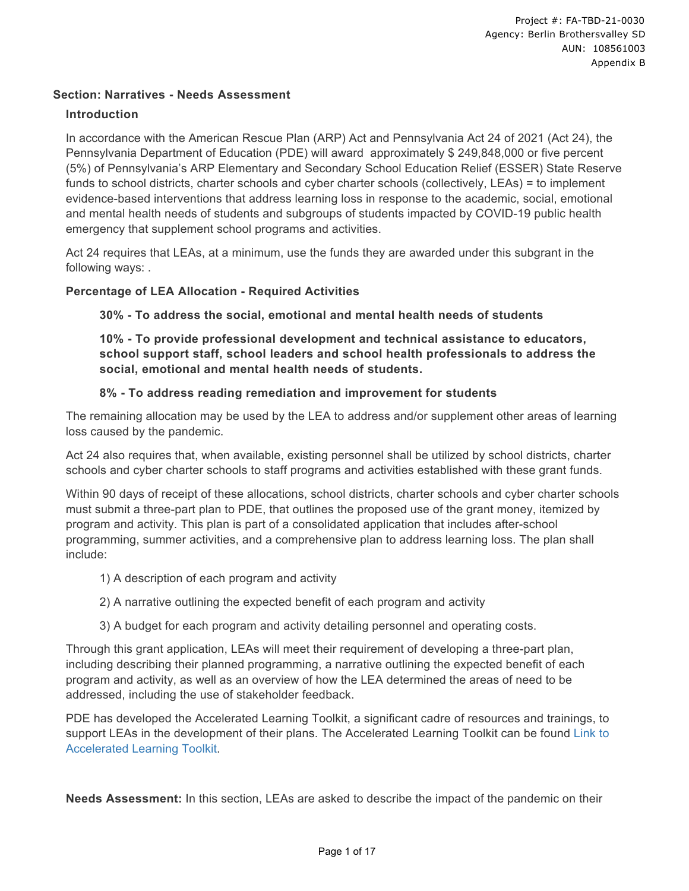### **Section: Narratives - Needs Assessment**

### **Introduction**

In accordance with the American Rescue Plan (ARP) Act and Pennsylvania Act 24 of 2021 (Act 24), the Pennsylvania Department of Education (PDE) will award approximately \$ 249,848,000 or five percent (5%) of Pennsylvania's ARP Elementary and Secondary School Education Relief (ESSER) State Reserve funds to school districts, charter schools and cyber charter schools (collectively, LEAs) = to implement evidence-based interventions that address learning loss in response to the academic, social, emotional and mental health needs of students and subgroups of students impacted by COVID-19 public health emergency that supplement school programs and activities.

Act 24 requires that LEAs, at a minimum, use the funds they are awarded under this subgrant in the following ways: .

### **Percentage of LEA Allocation - Required Activities**

**30% - To address the social, emotional and mental health needs of students**

**10% - To provide professional development and technical assistance to educators, school support staff, school leaders and school health professionals to address the social, emotional and mental health needs of students.** 

### **8% - To address reading remediation and improvement for students**

The remaining allocation may be used by the LEA to address and/or supplement other areas of learning loss caused by the pandemic.

Act 24 also requires that, when available, existing personnel shall be utilized by school districts, charter schools and cyber charter schools to staff programs and activities established with these grant funds.

Within 90 days of receipt of these allocations, school districts, charter schools and cyber charter schools must submit a three-part plan to PDE, that outlines the proposed use of the grant money, itemized by program and activity. This plan is part of a consolidated application that includes after-school programming, summer activities, and a comprehensive plan to address learning loss. The plan shall include:

- 1) A description of each program and activity
- 2) A narrative outlining the expected benefit of each program and activity
- 3) A budget for each program and activity detailing personnel and operating costs.

Through this grant application, LEAs will meet their requirement of developing a three-part plan, including describing their planned programming, a narrative outlining the expected benefit of each program and activity, as well as an overview of how the LEA determined the areas of need to be addressed, including the use of stakeholder feedback.

PDE has developed the Accelerated Learning Toolkit, a significant cadre of resources and trainings, to [support LEAs in the development of their plans. The Accelerated Learning Toolkit can be found Link to](http://www.education.pa.gov/acceleratedlearning) Accelerated Learning Toolkit.

**Needs Assessment:** In this section, LEAs are asked to describe the impact of the pandemic on their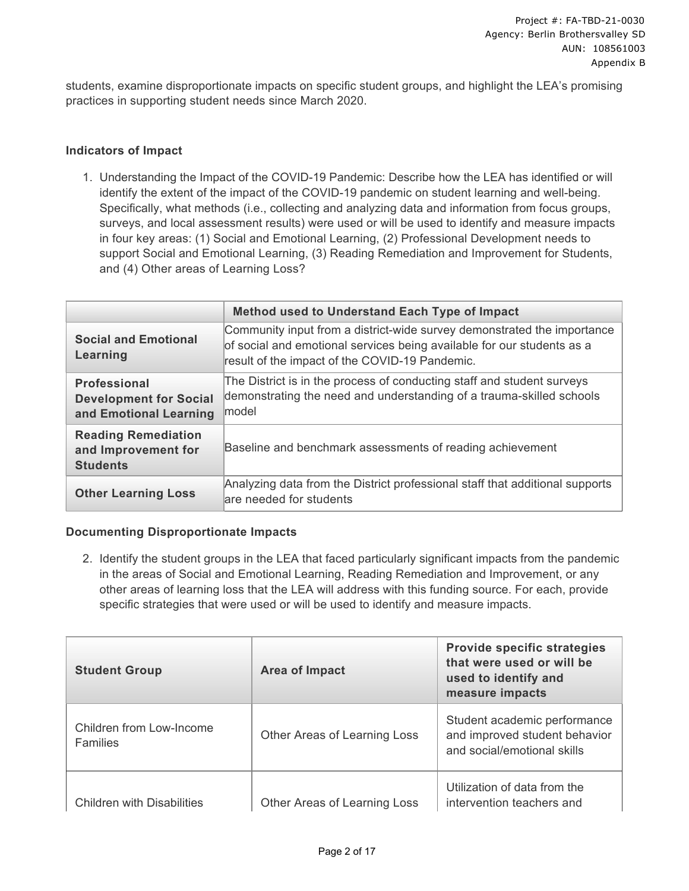students, examine disproportionate impacts on specific student groups, and highlight the LEA's promising practices in supporting student needs since March 2020.

### **Indicators of Impact**

1. Understanding the Impact of the COVID-19 Pandemic: Describe how the LEA has identified or will identify the extent of the impact of the COVID-19 pandemic on student learning and well-being. Specifically, what methods (i.e., collecting and analyzing data and information from focus groups, surveys, and local assessment results) were used or will be used to identify and measure impacts in four key areas: (1) Social and Emotional Learning, (2) Professional Development needs to support Social and Emotional Learning, (3) Reading Remediation and Improvement for Students, and (4) Other areas of Learning Loss?

|                                                                                | Method used to Understand Each Type of Impact                                                                                                                                                       |
|--------------------------------------------------------------------------------|-----------------------------------------------------------------------------------------------------------------------------------------------------------------------------------------------------|
| <b>Social and Emotional</b><br>Learning                                        | Community input from a district-wide survey demonstrated the importance<br>of social and emotional services being available for our students as a<br>result of the impact of the COVID-19 Pandemic. |
| <b>Professional</b><br><b>Development for Social</b><br>and Emotional Learning | The District is in the process of conducting staff and student surveys<br>demonstrating the need and understanding of a trauma-skilled schools<br>model                                             |
| <b>Reading Remediation</b><br>and Improvement for<br><b>Students</b>           | Baseline and benchmark assessments of reading achievement                                                                                                                                           |
| <b>Other Learning Loss</b>                                                     | Analyzing data from the District professional staff that additional supports<br>are needed for students                                                                                             |

### **Documenting Disproportionate Impacts**

2. Identify the student groups in the LEA that faced particularly significant impacts from the pandemic in the areas of Social and Emotional Learning, Reading Remediation and Improvement, or any other areas of learning loss that the LEA will address with this funding source. For each, provide specific strategies that were used or will be used to identify and measure impacts.

| <b>Student Group</b>                        | <b>Area of Impact</b>        | <b>Provide specific strategies</b><br>that were used or will be<br>used to identify and<br>measure impacts |
|---------------------------------------------|------------------------------|------------------------------------------------------------------------------------------------------------|
| Children from Low-Income<br><b>Families</b> | Other Areas of Learning Loss | Student academic performance<br>and improved student behavior<br>and social/emotional skills               |
| <b>Children with Disabilities</b>           | Other Areas of Learning Loss | Utilization of data from the<br>intervention teachers and                                                  |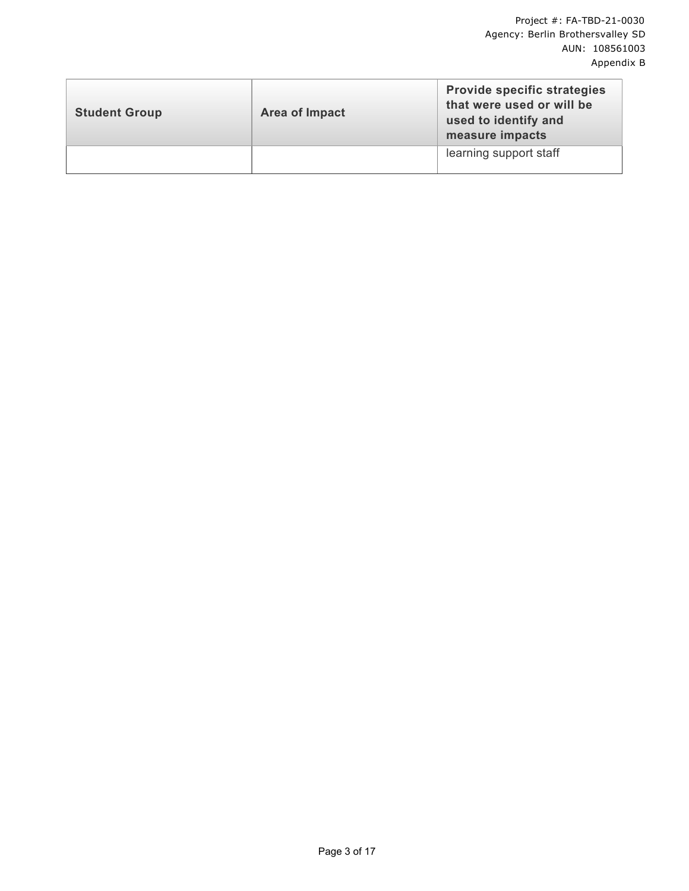| <b>Student Group</b> | Area of Impact | <b>Provide specific strategies</b><br>that were used or will be<br>used to identify and<br>measure impacts |
|----------------------|----------------|------------------------------------------------------------------------------------------------------------|
|                      |                | learning support staff                                                                                     |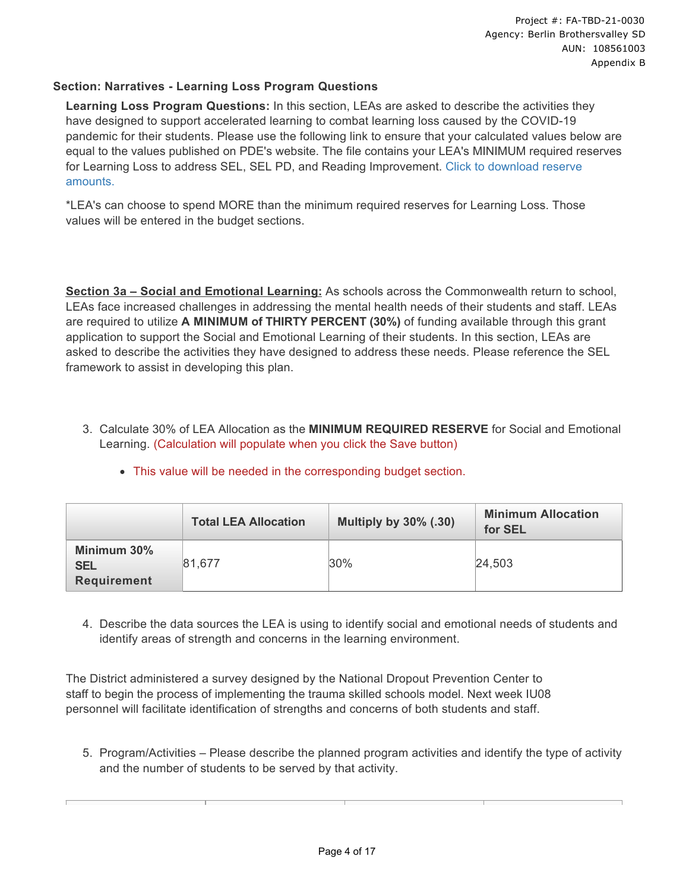### **Section: Narratives - Learning Loss Program Questions**

**Learning Loss Program Questions:** In this section, LEAs are asked to describe the activities they have designed to support accelerated learning to combat learning loss caused by the COVID-19 pandemic for their students. Please use the following link to ensure that your calculated values below are equal to the values published on PDE's website. The file contains your LEA's MINIMUM required reserves [for Learning Loss to address SEL, SEL PD, and Reading Improvement. Click to download reserve](https://www.education.pa.gov/Documents/K-12/Safe%20Schools/COVID/GuidanceDocuments/ARP%20ESSER%205%20Percent%20Learning%20Loss%20Allocations.xlsx) amounts.

\*LEA's can choose to spend MORE than the minimum required reserves for Learning Loss. Those values will be entered in the budget sections.

**Section 3a – Social and Emotional Learning:** As schools across the Commonwealth return to school, LEAs face increased challenges in addressing the mental health needs of their students and staff. LEAs are required to utilize **A MINIMUM of THIRTY PERCENT (30%)** of funding available through this grant application to support the Social and Emotional Learning of their students. In this section, LEAs are asked to describe the activities they have designed to address these needs. Please reference the SEL framework to assist in developing this plan.

3. Calculate 30% of LEA Allocation as the **MINIMUM REQUIRED RESERVE** for Social and Emotional Learning. (Calculation will populate when you click the Save button)

|                                                 | <b>Total LEA Allocation</b> | <b>Multiply by 30% (.30)</b> | <b>Minimum Allocation</b><br>for SEL |
|-------------------------------------------------|-----------------------------|------------------------------|--------------------------------------|
| Minimum 30%<br><b>SEL</b><br><b>Requirement</b> | 81,677                      | 30%                          | 24,503                               |

This value will be needed in the corresponding budget section.

4. Describe the data sources the LEA is using to identify social and emotional needs of students and identify areas of strength and concerns in the learning environment.

The District administered a survey designed by the National Dropout Prevention Center to staff to begin the process of implementing the trauma skilled schools model. Next week IU08 personnel will facilitate identification of strengths and concerns of both students and staff.

5. Program/Activities – Please describe the planned program activities and identify the type of activity and the number of students to be served by that activity.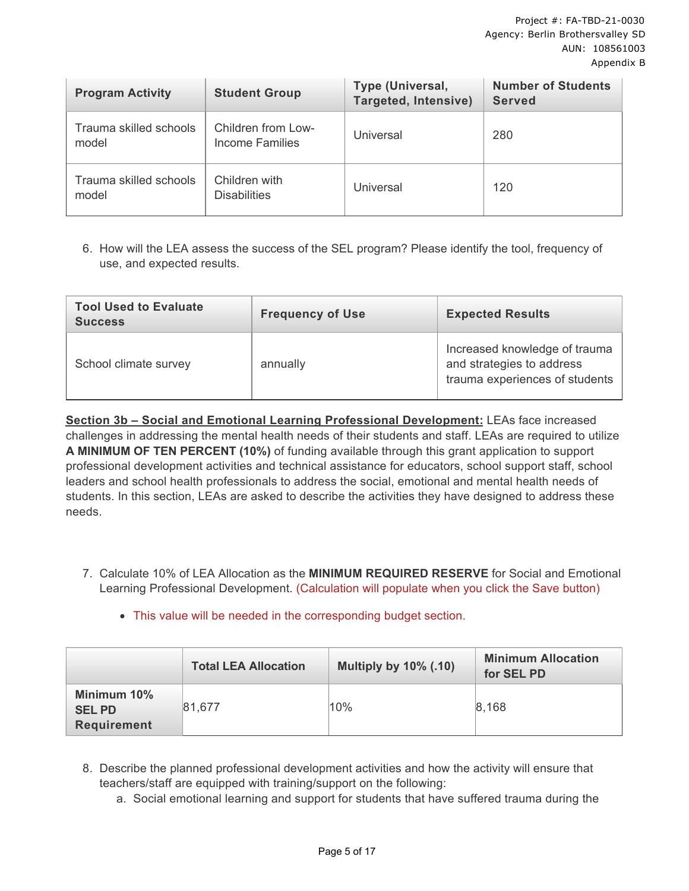| <b>Program Activity</b>         | <b>Student Group</b>                  | Type (Universal,<br>Targeted, Intensive) | <b>Number of Students</b><br><b>Served</b> |
|---------------------------------|---------------------------------------|------------------------------------------|--------------------------------------------|
| Trauma skilled schools<br>model | Children from Low-<br>Income Families | Universal                                | 280                                        |
| Trauma skilled schools<br>model | Children with<br><b>Disabilities</b>  | Universal                                | 120                                        |

6. How will the LEA assess the success of the SEL program? Please identify the tool, frequency of use, and expected results.

| <b>Tool Used to Evaluate</b><br><b>Success</b> | <b>Frequency of Use</b> | <b>Expected Results</b>                                                                      |
|------------------------------------------------|-------------------------|----------------------------------------------------------------------------------------------|
| School climate survey                          | annually                | Increased knowledge of trauma<br>and strategies to address<br>trauma experiences of students |

**Section 3b – Social and Emotional Learning Professional Development:** LEAs face increased challenges in addressing the mental health needs of their students and staff. LEAs are required to utilize **A MINIMUM OF TEN PERCENT (10%)** of funding available through this grant application to support professional development activities and technical assistance for educators, school support staff, school leaders and school health professionals to address the social, emotional and mental health needs of students. In this section, LEAs are asked to describe the activities they have designed to address these needs.

- 7. Calculate 10% of LEA Allocation as the **MINIMUM REQUIRED RESERVE** for Social and Emotional Learning Professional Development. (Calculation will populate when you click the Save button)
	- This value will be needed in the corresponding budget section.

|                              | <b>Total LEA Allocation</b> | <b>Multiply by 10% (.10)</b> | <b>Minimum Allocation</b><br>for SEL PD |
|------------------------------|-----------------------------|------------------------------|-----------------------------------------|
| Minimum 10%<br><b>SEL PD</b> | 81,677                      | 10%                          | 8,168                                   |
| <b>Requirement</b>           |                             |                              |                                         |

- 8. Describe the planned professional development activities and how the activity will ensure that teachers/staff are equipped with training/support on the following:
	- a. Social emotional learning and support for students that have suffered trauma during the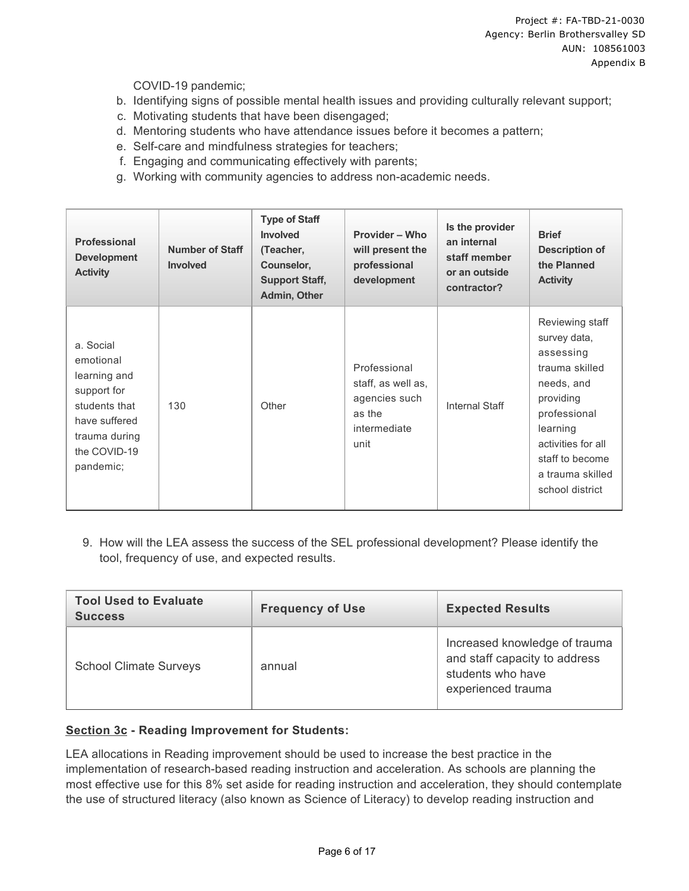COVID-19 pandemic;

- b. Identifying signs of possible mental health issues and providing culturally relevant support;
- c. Motivating students that have been disengaged;
- d. Mentoring students who have attendance issues before it becomes a pattern;
- e. Self-care and mindfulness strategies for teachers;
- f. Engaging and communicating effectively with parents;
- g. Working with community agencies to address non-academic needs.

| Professional<br><b>Development</b><br><b>Activity</b>                                                                                 | <b>Number of Staff</b><br><b>Involved</b> | <b>Type of Staff</b><br><b>Involved</b><br>(Teacher,<br>Counselor,<br><b>Support Staff,</b><br><b>Admin, Other</b> | <b>Provider - Who</b><br>will present the<br>professional<br>development              | Is the provider<br>an internal<br>staff member<br>or an outside<br>contractor? | <b>Brief</b><br><b>Description of</b><br>the Planned<br><b>Activity</b>                                                                                                                               |
|---------------------------------------------------------------------------------------------------------------------------------------|-------------------------------------------|--------------------------------------------------------------------------------------------------------------------|---------------------------------------------------------------------------------------|--------------------------------------------------------------------------------|-------------------------------------------------------------------------------------------------------------------------------------------------------------------------------------------------------|
| a. Social<br>emotional<br>learning and<br>support for<br>students that<br>have suffered<br>trauma during<br>the COVID-19<br>pandemic; | 130                                       | Other                                                                                                              | Professional<br>staff, as well as,<br>agencies such<br>as the<br>intermediate<br>unit | Internal Staff                                                                 | Reviewing staff<br>survey data,<br>assessing<br>trauma skilled<br>needs, and<br>providing<br>professional<br>learning<br>activities for all<br>staff to become<br>a trauma skilled<br>school district |

9. How will the LEA assess the success of the SEL professional development? Please identify the tool, frequency of use, and expected results.

| <b>Tool Used to Evaluate</b><br><b>Success</b> | <b>Frequency of Use</b> | <b>Expected Results</b>                                                                                   |
|------------------------------------------------|-------------------------|-----------------------------------------------------------------------------------------------------------|
| <b>School Climate Surveys</b>                  | annual                  | Increased knowledge of trauma<br>and staff capacity to address<br>students who have<br>experienced trauma |

#### **Section 3c - Reading Improvement for Students:**

LEA allocations in Reading improvement should be used to increase the best practice in the implementation of research-based reading instruction and acceleration. As schools are planning the most effective use for this 8% set aside for reading instruction and acceleration, they should contemplate the use of structured literacy (also known as Science of Literacy) to develop reading instruction and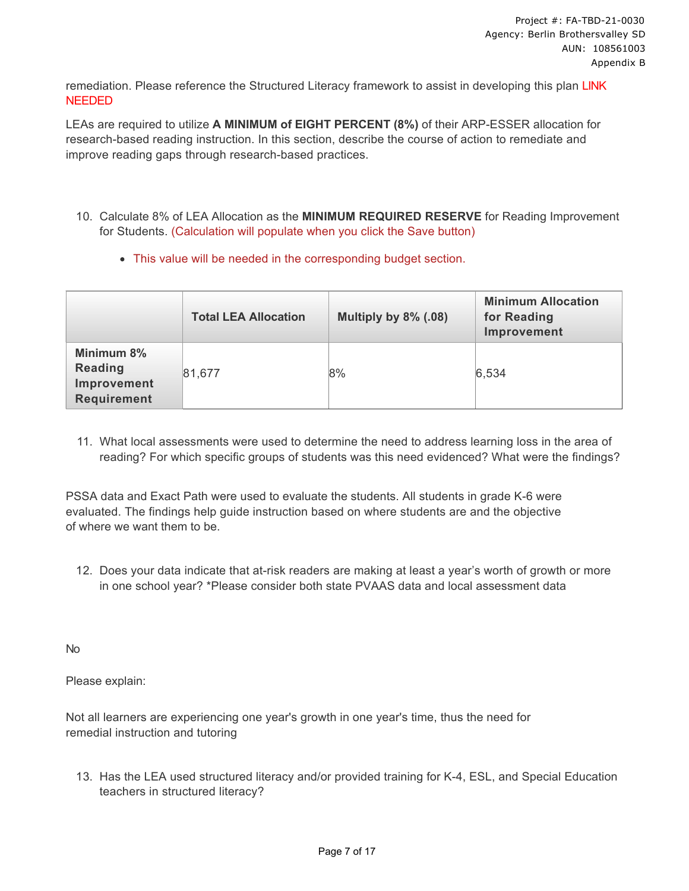remediation. Please reference the Structured Literacy framework to assist in developing this plan LINK NEEDED

LEAs are required to utilize **A MINIMUM of EIGHT PERCENT (8%)** of their ARP-ESSER allocation for research-based reading instruction. In this section, describe the course of action to remediate and improve reading gaps through research-based practices.

- 10. Calculate 8% of LEA Allocation as the **MINIMUM REQUIRED RESERVE** for Reading Improvement for Students. (Calculation will populate when you click the Save button)
	- This value will be needed in the corresponding budget section.

|                                                                   | <b>Total LEA Allocation</b> | Multiply by 8% (.08) | <b>Minimum Allocation</b><br>for Reading<br>Improvement |
|-------------------------------------------------------------------|-----------------------------|----------------------|---------------------------------------------------------|
| Minimum 8%<br><b>Reading</b><br>Improvement<br><b>Requirement</b> | 81,677                      | 8%                   | 6,534                                                   |

11. What local assessments were used to determine the need to address learning loss in the area of reading? For which specific groups of students was this need evidenced? What were the findings?

PSSA data and Exact Path were used to evaluate the students. All students in grade K-6 were evaluated. The findings help guide instruction based on where students are and the objective of where we want them to be.

12. Does your data indicate that at-risk readers are making at least a year's worth of growth or more in one school year? \*Please consider both state PVAAS data and local assessment data

No

Please explain:

Not all learners are experiencing one year's growth in one year's time, thus the need for remedial instruction and tutoring

13. Has the LEA used structured literacy and/or provided training for K-4, ESL, and Special Education teachers in structured literacy?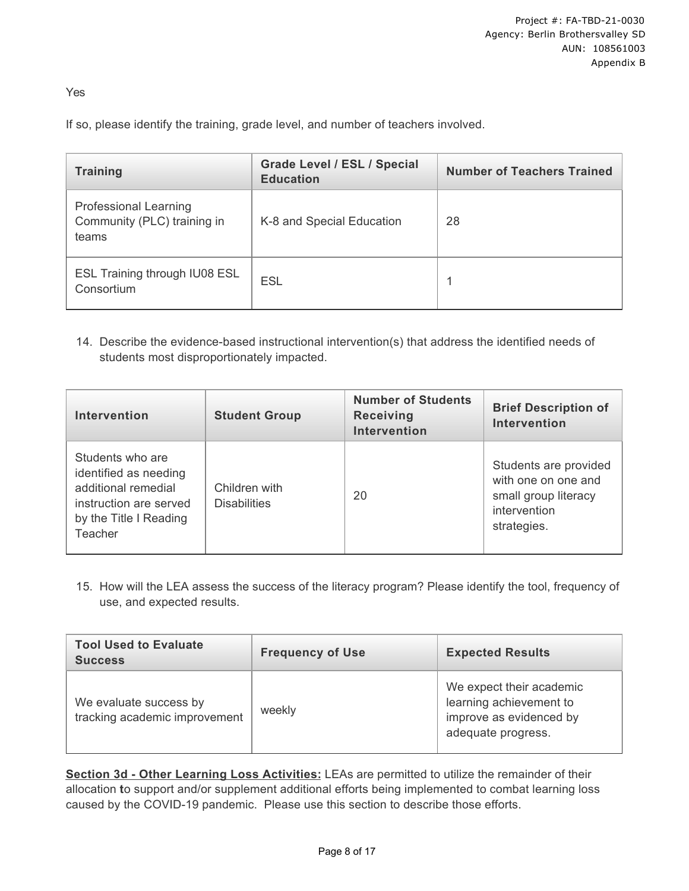Yes

If so, please identify the training, grade level, and number of teachers involved.

| <b>Training</b>                                                      | <b>Grade Level / ESL / Special</b><br><b>Education</b> | <b>Number of Teachers Trained</b> |
|----------------------------------------------------------------------|--------------------------------------------------------|-----------------------------------|
| <b>Professional Learning</b><br>Community (PLC) training in<br>teams | K-8 and Special Education                              | 28                                |
| ESL Training through IU08 ESL<br>Consortium                          | <b>ESL</b>                                             | 4                                 |

14. Describe the evidence-based instructional intervention(s) that address the identified needs of students most disproportionately impacted.

| <b>Intervention</b>                                                                                                             | <b>Student Group</b>                 | <b>Number of Students</b><br><b>Receiving</b><br><b>Intervention</b> | <b>Brief Description of</b><br>Intervention                                                         |
|---------------------------------------------------------------------------------------------------------------------------------|--------------------------------------|----------------------------------------------------------------------|-----------------------------------------------------------------------------------------------------|
| Students who are<br>identified as needing<br>additional remedial<br>instruction are served<br>by the Title I Reading<br>Teacher | Children with<br><b>Disabilities</b> | 20                                                                   | Students are provided<br>with one on one and<br>small group literacy<br>intervention<br>strategies. |

15. How will the LEA assess the success of the literacy program? Please identify the tool, frequency of use, and expected results.

| <b>Tool Used to Evaluate</b><br><b>Success</b>          | <b>Frequency of Use</b> | <b>Expected Results</b>                                                                              |
|---------------------------------------------------------|-------------------------|------------------------------------------------------------------------------------------------------|
| We evaluate success by<br>tracking academic improvement | weekly                  | We expect their academic<br>learning achievement to<br>improve as evidenced by<br>adequate progress. |

**Section 3d - Other Learning Loss Activities:** LEAs are permitted to utilize the remainder of their allocation **t**o support and/or supplement additional efforts being implemented to combat learning loss caused by the COVID-19 pandemic. Please use this section to describe those efforts.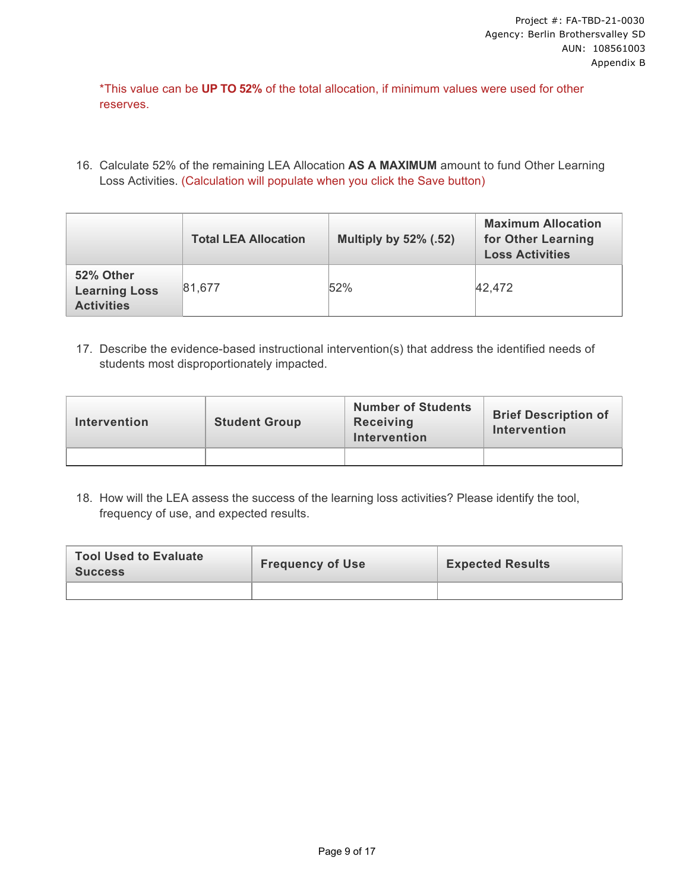\*This value can be **UP TO 52%** of the total allocation, if minimum values were used for other reserves.

16. Calculate 52% of the remaining LEA Allocation **AS A MAXIMUM** amount to fund Other Learning Loss Activities. (Calculation will populate when you click the Save button)

|                                                        | <b>Total LEA Allocation</b> | <b>Multiply by 52% (.52)</b> | <b>Maximum Allocation</b><br>for Other Learning<br><b>Loss Activities</b> |
|--------------------------------------------------------|-----------------------------|------------------------------|---------------------------------------------------------------------------|
| 52% Other<br><b>Learning Loss</b><br><b>Activities</b> | 81,677                      | 52%                          | 42,472                                                                    |

17. Describe the evidence-based instructional intervention(s) that address the identified needs of students most disproportionately impacted.

| <b>Intervention</b> | <b>Student Group</b> | <b>Number of Students</b><br><b>Receiving</b><br>Intervention | <b>Brief Description of</b><br><b>Intervention</b> |
|---------------------|----------------------|---------------------------------------------------------------|----------------------------------------------------|
|                     |                      |                                                               |                                                    |

18. How will the LEA assess the success of the learning loss activities? Please identify the tool, frequency of use, and expected results.

| <b>Tool Used to Evaluate</b><br><b>Success</b> | <b>Frequency of Use</b> | <b>Expected Results</b> |
|------------------------------------------------|-------------------------|-------------------------|
|                                                |                         |                         |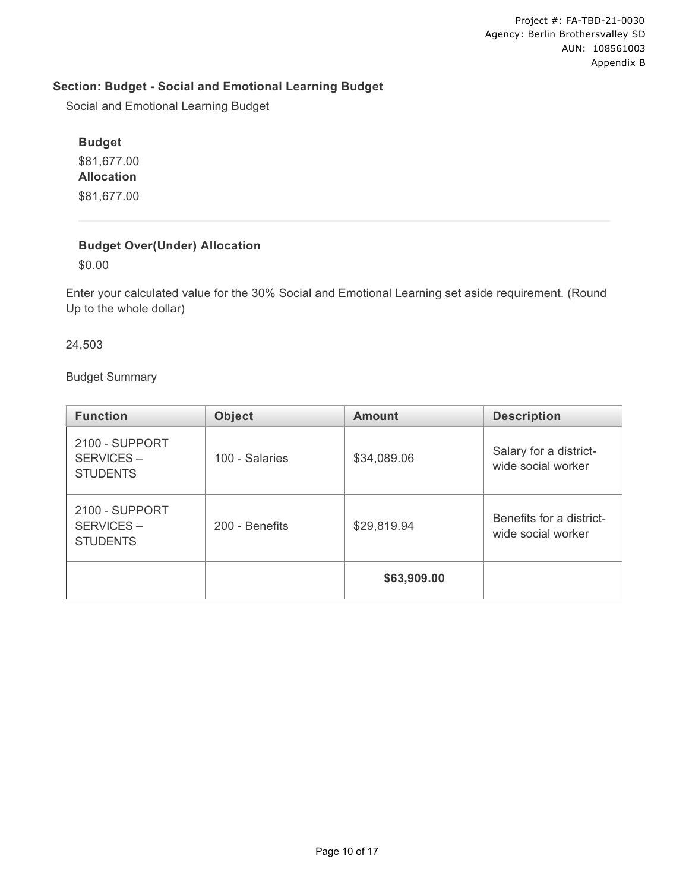### **Section: Budget - Social and Emotional Learning Budget**

Social and Emotional Learning Budget

**Budget** \$81,677.00 **Allocation** \$81,677.00

## **Budget Over(Under) Allocation**

\$0.00

Enter your calculated value for the 30% Social and Emotional Learning set aside requirement. (Round Up to the whole dollar)

24,503

Budget Summary

| <b>Function</b>                                       | <b>Object</b>  | <b>Amount</b> | <b>Description</b>                             |
|-------------------------------------------------------|----------------|---------------|------------------------------------------------|
| <b>2100 - SUPPORT</b><br>SERVICES-<br><b>STUDENTS</b> | 100 - Salaries | \$34,089.06   | Salary for a district-<br>wide social worker   |
| 2100 - SUPPORT<br>SERVICES-<br><b>STUDENTS</b>        | 200 - Benefits | \$29,819.94   | Benefits for a district-<br>wide social worker |
|                                                       |                | \$63,909.00   |                                                |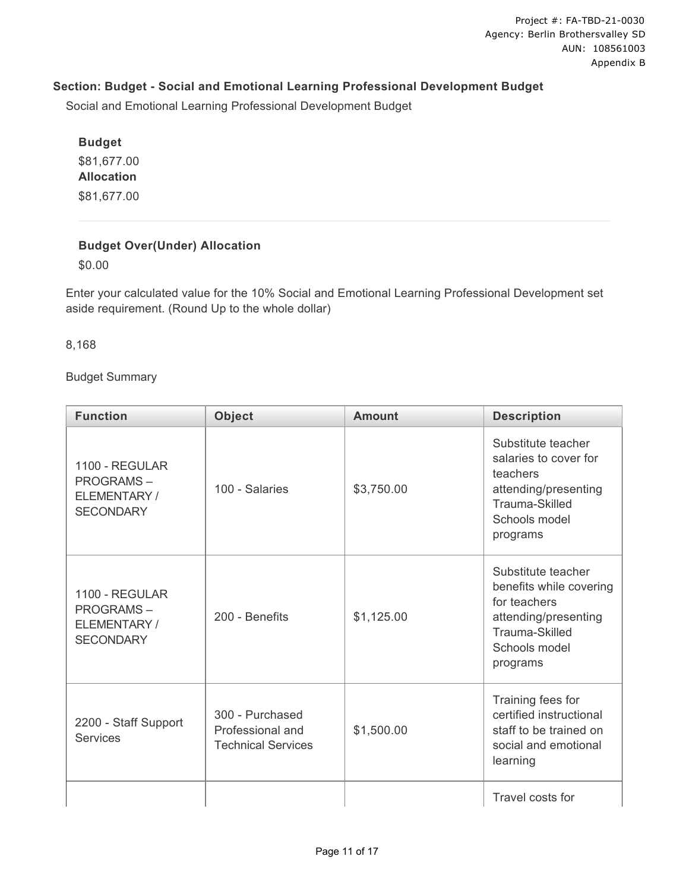### **Section: Budget - Social and Emotional Learning Professional Development Budget**

Social and Emotional Learning Professional Development Budget

**Budget** \$81,677.00 **Allocation** \$81,677.00

## **Budget Over(Under) Allocation**

\$0.00

Enter your calculated value for the 10% Social and Emotional Learning Professional Development set aside requirement. (Round Up to the whole dollar)

8,168

Budget Summary

| <b>Function</b>                                                              | <b>Object</b>                                                    | <b>Amount</b> | <b>Description</b>                                                                                                                   |
|------------------------------------------------------------------------------|------------------------------------------------------------------|---------------|--------------------------------------------------------------------------------------------------------------------------------------|
| <b>1100 - REGULAR</b><br><b>PROGRAMS-</b><br>ELEMENTARY/<br><b>SECONDARY</b> | 100 - Salaries                                                   | \$3,750.00    | Substitute teacher<br>salaries to cover for<br>teachers<br>attending/presenting<br>Trauma-Skilled<br>Schools model<br>programs       |
| <b>1100 - REGULAR</b><br><b>PROGRAMS-</b><br>ELEMENTARY/<br><b>SECONDARY</b> | 200 - Benefits                                                   | \$1,125.00    | Substitute teacher<br>benefits while covering<br>for teachers<br>attending/presenting<br>Trauma-Skilled<br>Schools model<br>programs |
| 2200 - Staff Support<br>Services                                             | 300 - Purchased<br>Professional and<br><b>Technical Services</b> | \$1,500.00    | Training fees for<br>certified instructional<br>staff to be trained on<br>social and emotional<br>learning                           |
|                                                                              |                                                                  |               | Travel costs for                                                                                                                     |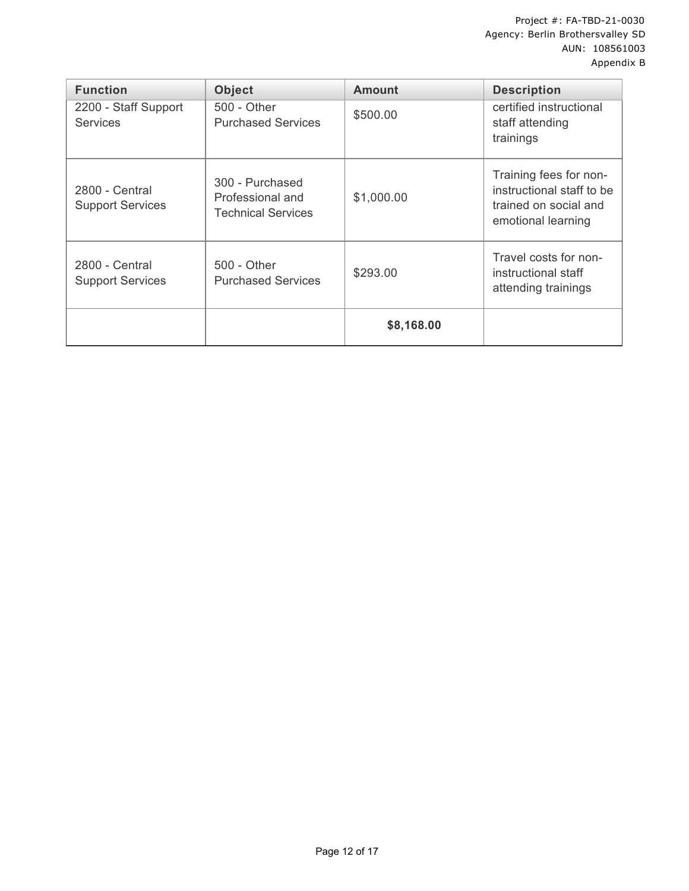| <b>Function</b>                           | <b>Object</b>                                                    | <b>Amount</b> | <b>Description</b>                                                                                 |
|-------------------------------------------|------------------------------------------------------------------|---------------|----------------------------------------------------------------------------------------------------|
| 2200 - Staff Support<br><b>Services</b>   | 500 - Other<br><b>Purchased Services</b>                         | \$500.00      | certified instructional<br>staff attending<br>trainings                                            |
| 2800 - Central<br><b>Support Services</b> | 300 - Purchased<br>Professional and<br><b>Technical Services</b> | \$1,000.00    | Training fees for non-<br>instructional staff to be<br>trained on social and<br>emotional learning |
| 2800 - Central<br><b>Support Services</b> | 500 - Other<br><b>Purchased Services</b>                         | \$293.00      | Travel costs for non-<br>instructional staff<br>attending trainings                                |
|                                           |                                                                  | \$8,168.00    |                                                                                                    |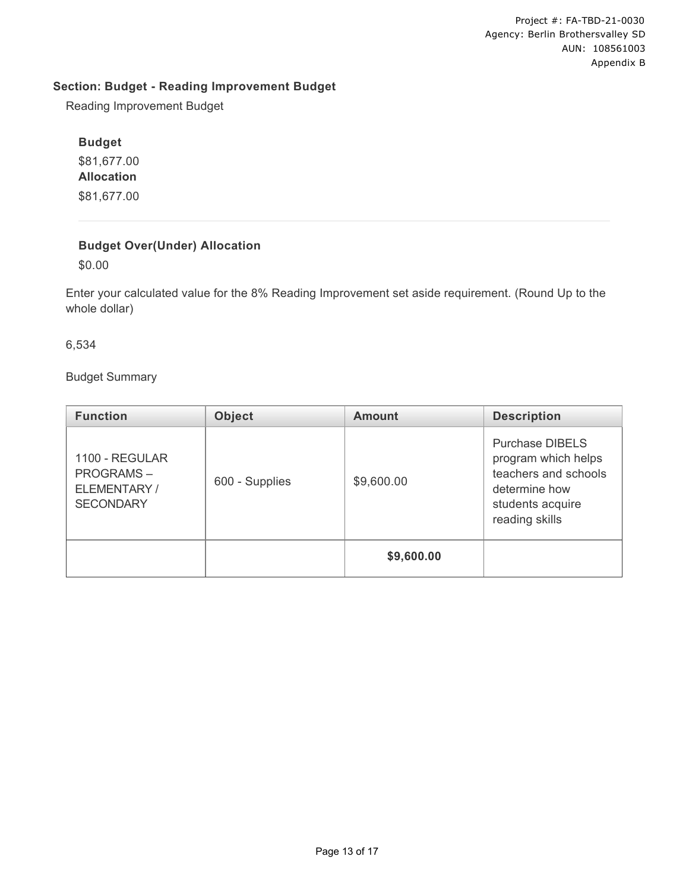## **Section: Budget - Reading Improvement Budget**

Reading Improvement Budget

**Budget** \$81,677.00 **Allocation** \$81,677.00

## **Budget Over(Under) Allocation**

\$0.00

Enter your calculated value for the 8% Reading Improvement set aside requirement. (Round Up to the whole dollar)

6,534

Budget Summary

| <b>Function</b>                                                       | <b>Object</b>  | <b>Amount</b> | <b>Description</b>                                                                                                           |
|-----------------------------------------------------------------------|----------------|---------------|------------------------------------------------------------------------------------------------------------------------------|
| 1100 - REGULAR<br><b>PROGRAMS-</b><br>ELEMENTARY/<br><b>SECONDARY</b> | 600 - Supplies | \$9,600.00    | <b>Purchase DIBELS</b><br>program which helps<br>teachers and schools<br>determine how<br>students acquire<br>reading skills |
|                                                                       |                | \$9,600.00    |                                                                                                                              |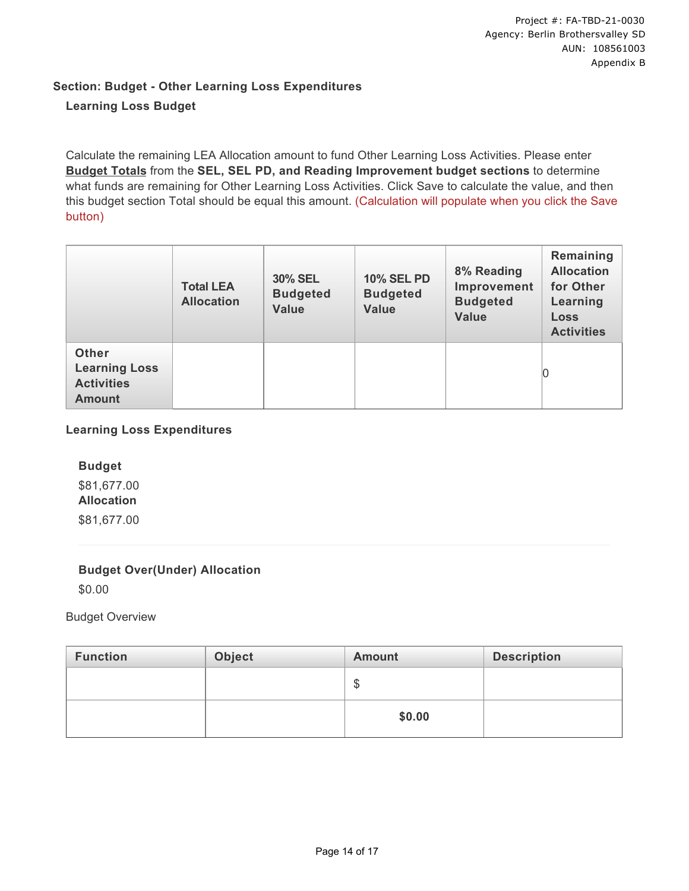## **Section: Budget - Other Learning Loss Expenditures Learning Loss Budget**

Calculate the remaining LEA Allocation amount to fund Other Learning Loss Activities. Please enter **Budget Totals** from the **SEL, SEL PD, and Reading Improvement budget sections** to determine what funds are remaining for Other Learning Loss Activities. Click Save to calculate the value, and then this budget section Total should be equal this amount. (Calculation will populate when you click the Save button)

|                                                                            | <b>Total LEA</b><br><b>Allocation</b> | <b>30% SEL</b><br><b>Budgeted</b><br><b>Value</b> | <b>10% SEL PD</b><br><b>Budgeted</b><br><b>Value</b> | 8% Reading<br>Improvement<br><b>Budgeted</b><br><b>Value</b> | Remaining<br><b>Allocation</b><br>for Other<br>Learning<br><b>Loss</b><br><b>Activities</b> |
|----------------------------------------------------------------------------|---------------------------------------|---------------------------------------------------|------------------------------------------------------|--------------------------------------------------------------|---------------------------------------------------------------------------------------------|
| <b>Other</b><br><b>Learning Loss</b><br><b>Activities</b><br><b>Amount</b> |                                       |                                                   |                                                      |                                                              |                                                                                             |

## **Learning Loss Expenditures**

**Budget** \$81,677.00 **Allocation** \$81,677.00

## **Budget Over(Under) Allocation**

\$0.00

Budget Overview

| <b>Function</b> | <b>Object</b> | <b>Amount</b> | <b>Description</b> |
|-----------------|---------------|---------------|--------------------|
|                 |               | ጦ<br>Œ        |                    |
|                 |               | \$0.00        |                    |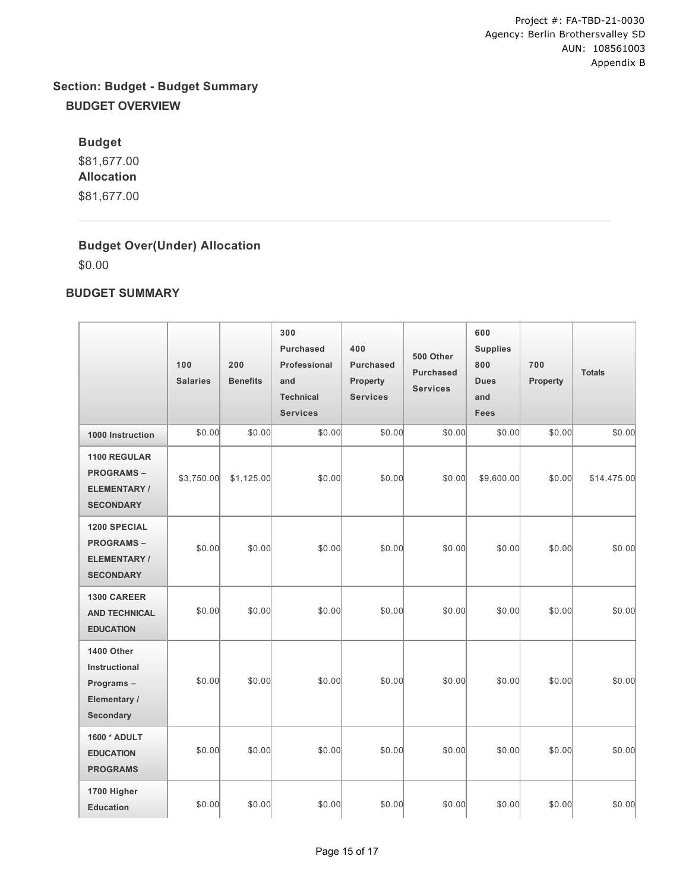# **Section: Budget - Budget Summary BUDGET OVERVIEW**

**Budget** \$81,677.00 **Allocation** \$81,677.00

## **Budget Over(Under) Allocation**

\$0.00

## **BUDGET SUMMARY**

|                                                                                   | 100<br><b>Salaries</b> | 200<br><b>Benefits</b> | 300<br><b>Purchased</b><br>Professional<br>and<br><b>Technical</b><br><b>Services</b> | 400<br><b>Purchased</b><br><b>Property</b><br><b>Services</b> | 500 Other<br><b>Purchased</b><br><b>Services</b> | 600<br><b>Supplies</b><br>800<br><b>Dues</b><br>and<br>Fees | 700<br>Property | <b>Totals</b> |
|-----------------------------------------------------------------------------------|------------------------|------------------------|---------------------------------------------------------------------------------------|---------------------------------------------------------------|--------------------------------------------------|-------------------------------------------------------------|-----------------|---------------|
| 1000 Instruction                                                                  | \$0.00                 | \$0.00                 | \$0.00                                                                                | \$0.00                                                        | \$0.00                                           | \$0.00                                                      | \$0.00          | \$0.00        |
| <b>1100 REGULAR</b><br><b>PROGRAMS-</b><br><b>ELEMENTARY/</b><br><b>SECONDARY</b> | \$3,750.00             | \$1,125.00             | \$0.00                                                                                | \$0.00                                                        | \$0.00                                           | \$9,600.00                                                  | \$0.00          | \$14,475.00   |
| 1200 SPECIAL<br><b>PROGRAMS-</b><br><b>ELEMENTARY/</b><br><b>SECONDARY</b>        | \$0.00                 | \$0.00                 | \$0.00                                                                                | \$0.00                                                        | \$0.00                                           | \$0.00                                                      | \$0.00          | \$0.00        |
| <b>1300 CAREER</b><br><b>AND TECHNICAL</b><br><b>EDUCATION</b>                    | \$0.00                 | \$0.00                 | \$0.00                                                                                | \$0.00                                                        | \$0.00                                           | \$0.00                                                      | \$0.00          | \$0.00        |
| 1400 Other<br>Instructional<br>Programs-<br>Elementary /<br><b>Secondary</b>      | \$0.00                 | \$0.00                 | \$0.00                                                                                | \$0.00                                                        | \$0.00                                           | \$0.00                                                      | \$0.00          | \$0.00        |
| 1600 * ADULT<br><b>EDUCATION</b><br><b>PROGRAMS</b>                               | \$0.00                 | \$0.00                 | \$0.00                                                                                | \$0.00                                                        | \$0.00                                           | \$0.00                                                      | \$0.00          | \$0.00        |
| 1700 Higher<br><b>Education</b>                                                   | \$0.00                 | \$0.00                 | \$0.00                                                                                | \$0.00                                                        | \$0.00                                           | \$0.00                                                      | \$0.00          | \$0.00        |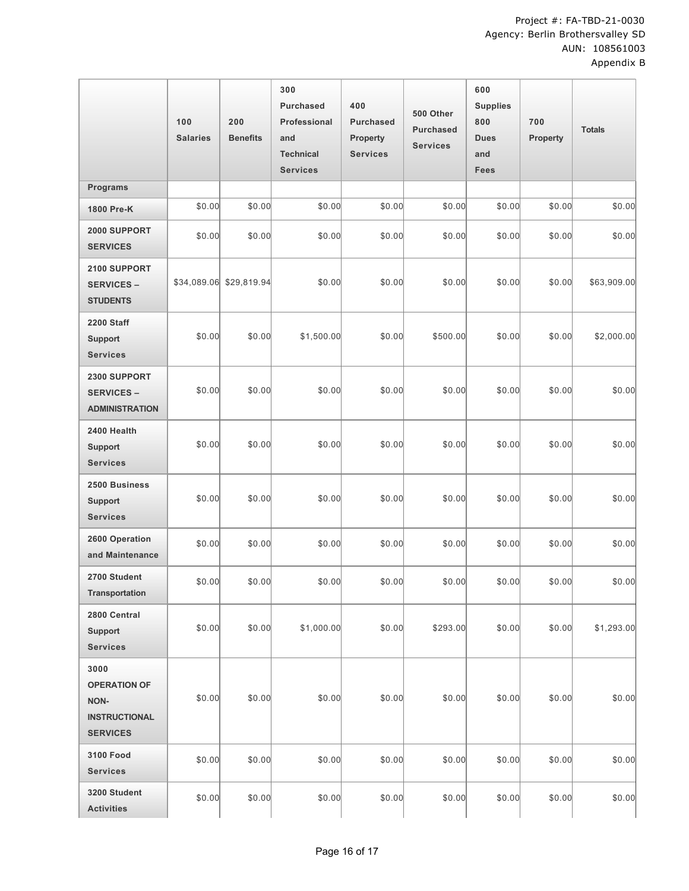|                                                                                | 100<br><b>Salaries</b> | 200<br><b>Benefits</b> | 300<br><b>Purchased</b><br>Professional<br>and<br><b>Technical</b><br><b>Services</b> | 400<br><b>Purchased</b><br><b>Property</b><br><b>Services</b> | 500 Other<br><b>Purchased</b><br><b>Services</b> | 600<br><b>Supplies</b><br>800<br><b>Dues</b><br>and<br>Fees | 700<br>Property | <b>Totals</b> |
|--------------------------------------------------------------------------------|------------------------|------------------------|---------------------------------------------------------------------------------------|---------------------------------------------------------------|--------------------------------------------------|-------------------------------------------------------------|-----------------|---------------|
| <b>Programs</b>                                                                |                        |                        |                                                                                       |                                                               |                                                  |                                                             |                 |               |
| 1800 Pre-K                                                                     | \$0.00                 | \$0.00                 | \$0.00                                                                                | \$0.00                                                        | \$0.00                                           | \$0.00                                                      | \$0.00          | \$0.00        |
| 2000 SUPPORT<br><b>SERVICES</b>                                                | \$0.00                 | \$0.00                 | \$0.00                                                                                | \$0.00                                                        | \$0.00                                           | \$0.00                                                      | \$0.00          | \$0.00        |
| 2100 SUPPORT<br><b>SERVICES -</b><br><b>STUDENTS</b>                           | \$34,089.06            | \$29,819.94            | \$0.00                                                                                | \$0.00                                                        | \$0.00                                           | \$0.00                                                      | \$0.00          | \$63,909.00   |
| <b>2200 Staff</b><br><b>Support</b><br><b>Services</b>                         | \$0.00                 | \$0.00                 | \$1,500.00                                                                            | \$0.00                                                        | \$500.00                                         | \$0.00                                                      | \$0.00          | \$2,000.00    |
| 2300 SUPPORT<br><b>SERVICES -</b><br><b>ADMINISTRATION</b>                     | \$0.00                 | \$0.00                 | \$0.00                                                                                | \$0.00                                                        | \$0.00                                           | \$0.00                                                      | \$0.00          | \$0.00        |
| 2400 Health<br><b>Support</b><br><b>Services</b>                               | \$0.00                 | \$0.00                 | \$0.00                                                                                | \$0.00                                                        | \$0.00                                           | \$0.00                                                      | \$0.00          | \$0.00        |
| 2500 Business<br><b>Support</b><br><b>Services</b>                             | \$0.00                 | \$0.00                 | \$0.00                                                                                | \$0.00                                                        | \$0.00                                           | \$0.00                                                      | \$0.00          | \$0.00        |
| 2600 Operation<br>and Maintenance                                              | \$0.00                 | \$0.00                 | \$0.00                                                                                | \$0.00                                                        | \$0.00                                           | \$0.00                                                      | \$0.00          | \$0.00        |
| 2700 Student<br><b>Transportation</b>                                          | \$0.00                 | \$0.00                 | \$0.00                                                                                | \$0.00                                                        | \$0.00                                           | \$0.00                                                      | \$0.00          | \$0.00        |
| 2800 Central<br><b>Support</b><br><b>Services</b>                              | \$0.00                 | \$0.00                 | \$1,000.00                                                                            | \$0.00                                                        | \$293.00                                         | \$0.00                                                      | \$0.00          | \$1,293.00    |
| 3000<br><b>OPERATION OF</b><br>NON-<br><b>INSTRUCTIONAL</b><br><b>SERVICES</b> | \$0.00                 | \$0.00                 | \$0.00                                                                                | \$0.00                                                        | \$0.00                                           | \$0.00                                                      | \$0.00          | \$0.00        |
| <b>3100 Food</b><br><b>Services</b>                                            | \$0.00                 | \$0.00                 | \$0.00                                                                                | \$0.00                                                        | \$0.00                                           | \$0.00                                                      | \$0.00          | \$0.00        |
| 3200 Student<br><b>Activities</b>                                              | \$0.00                 | \$0.00                 | \$0.00                                                                                | \$0.00                                                        | \$0.00                                           | \$0.00                                                      | \$0.00          | \$0.00        |